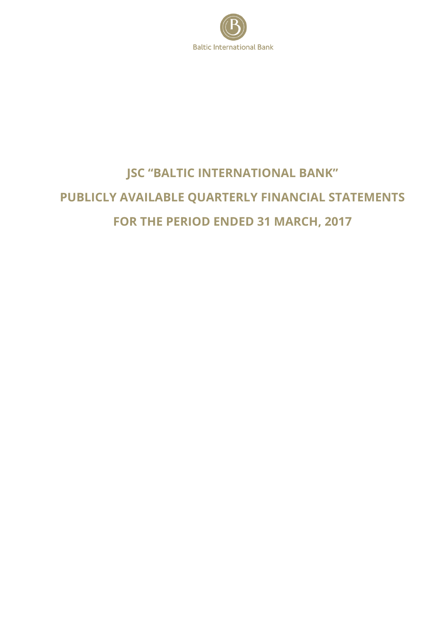

# **JSC "BALTIC INTERNATIONAL BANK" PUBLICLY AVAILABLE QUARTERLY FINANCIAL STATEMENTS FOR THE PERIOD ENDED 31 MARCH, 2017**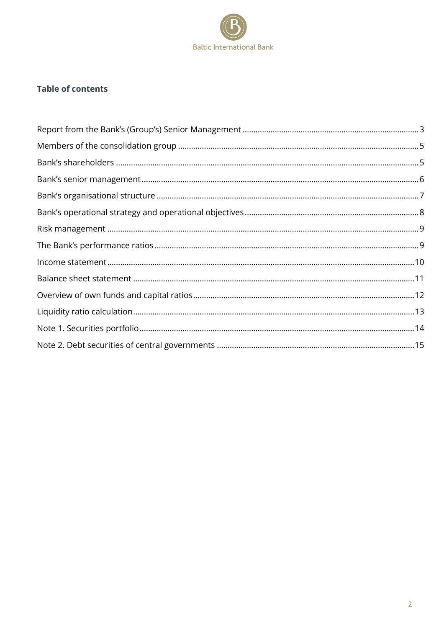

### **Table of contents**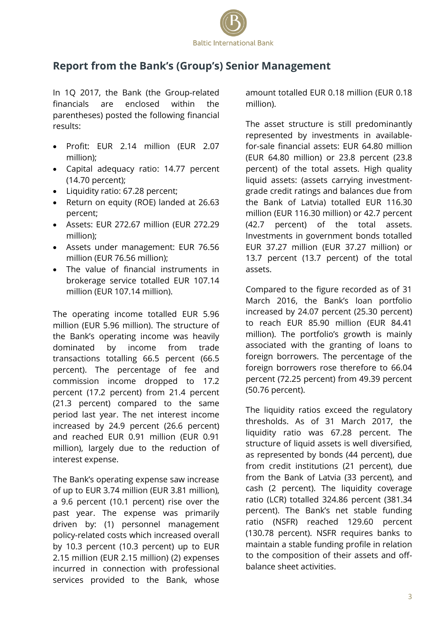

# <span id="page-2-0"></span>**Report from the Bank's (Group's) Senior Management**

In 1Q 2017, the Bank (the Group-related financials are enclosed within the parentheses) posted the following financial results:

- Profit: EUR 2.14 million (EUR 2.07 million);
- Capital adequacy ratio: 14.77 percent (14.70 percent);
- Liquidity ratio: 67.28 percent;
- Return on equity (ROE) landed at 26.63 percent;
- Assets: EUR 272.67 million (EUR 272.29 million);
- Assets under management: EUR 76.56 million (EUR 76.56 million);
- The value of financial instruments in brokerage service totalled EUR 107.14 million (EUR 107.14 million).

The operating income totalled EUR 5.96 million (EUR 5.96 million). The structure of the Bank's operating income was heavily dominated by income from trade transactions totalling 66.5 percent (66.5 percent). The percentage of fee and commission income dropped to 17.2 percent (17.2 percent) from 21.4 percent (21.3 percent) compared to the same period last year. The net interest income increased by 24.9 percent (26.6 percent) and reached EUR 0.91 million (EUR 0.91 million), largely due to the reduction of interest expense.

The Bank's operating expense saw increase of up to EUR 3.74 million (EUR 3.81 million), a 9.6 percent (10.1 percent) rise over the past year. The expense was primarily driven by: (1) personnel management policy-related costs which increased overall by 10.3 percent (10.3 percent) up to EUR 2.15 million (EUR 2.15 million) (2) expenses incurred in connection with professional services provided to the Bank, whose

amount totalled EUR 0.18 million (EUR 0.18 million).

The asset structure is still predominantly represented by investments in availablefor-sale financial assets: EUR 64.80 million (EUR 64.80 million) or 23.8 percent (23.8 percent) of the total assets. High quality liquid assets: (assets carrying investmentgrade credit ratings and balances due from the Bank of Latvia) totalled EUR 116.30 million (EUR 116.30 million) or 42.7 percent (42.7 percent) of the total assets. Investments in government bonds totalled EUR 37.27 million (EUR 37.27 million) or 13.7 percent (13.7 percent) of the total assets.

Compared to the figure recorded as of 31 March 2016, the Bank's loan portfolio increased by 24.07 percent (25.30 percent) to reach EUR 85.90 million (EUR 84.41 million). The portfolio's growth is mainly associated with the granting of loans to foreign borrowers. The percentage of the foreign borrowers rose therefore to 66.04 percent (72.25 percent) from 49.39 percent (50.76 percent).

The liquidity ratios exceed the regulatory thresholds. As of 31 March 2017, the liquidity ratio was 67.28 percent. The structure of liquid assets is well diversified, as represented by bonds (44 percent), due from credit institutions (21 percent), due from the Bank of Latvia (33 percent), and cash (2 percent). The liquidity coverage ratio (LCR) totalled 324.86 percent (381.34 percent). The Bank's net stable funding ratio (NSFR) reached 129.60 percent (130.78 percent). NSFR requires banks to maintain a stable funding profile in relation to the composition of their assets and offbalance sheet activities.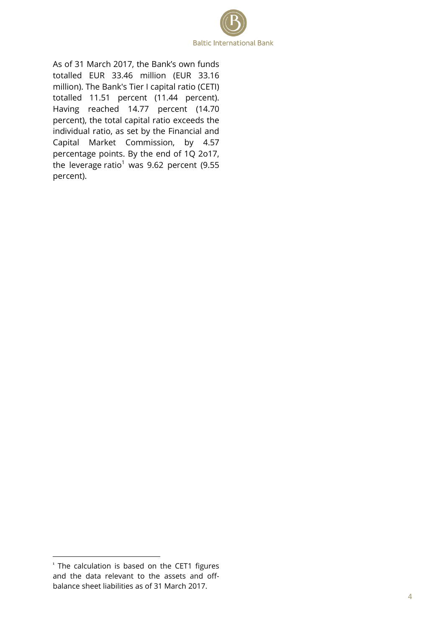

As of 31 March 2017, the Bank's own funds totalled EUR 33.46 million (EUR 33.16 million). The Bank's Tier I capital ratio (CETI) totalled 11.51 percent (11.44 percent). Having reached 14.77 percent (14.70 percent), the total capital ratio exceeds the individual ratio, as set by the Financial and Capital Market Commission, by 4.57 percentage points. By the end of 1Q 2o17, the leverage ratio<sup>1</sup> was 9.62 percent (9.55 percent).

 $\overline{\phantom{a}}$ 

<sup>&</sup>lt;sup>1</sup> The calculation is based on the CET1 figures and the data relevant to the assets and offbalance sheet liabilities as of 31 March 2017.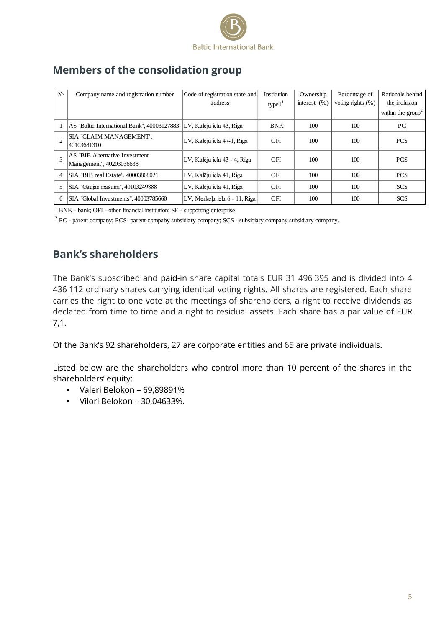

| $N_2$ | Company name and registration number                        | Code of registration state and | <b>Institution</b> | Ownership       | Percentage of         | Rationale behind            |
|-------|-------------------------------------------------------------|--------------------------------|--------------------|-----------------|-----------------------|-----------------------------|
|       |                                                             | address                        | type1 <sup>1</sup> | interest $(% )$ | voting rights $(\% )$ | the inclusion               |
|       |                                                             |                                |                    |                 |                       | within the $\text{group}^2$ |
|       | AS "Baltic International Bank", 40003127883                 | LV, Kalēju iela 43, Riga       | <b>BNK</b>         | 100             | 100                   | PC                          |
|       | SIA "CLAIM MANAGEMENT".<br>40103681310                      | LV, Kalēju iela 47-1, Rīga     | OFI                | 100             | 100                   | <b>PCS</b>                  |
|       | AS "BIB Alternative Investment"<br>Management", 40203036638 | LV, Kalēju iela 43 - 4, Rīga   | <b>OFI</b>         | 100             | 100                   | <b>PCS</b>                  |
| 4     | SIA "BIB real Estate", 40003868021                          | LV, Kalēju iela 41, Riga       | <b>OFI</b>         | 100             | 100                   | <b>PCS</b>                  |
|       | SIA "Gaujas īpašumi", 40103249888                           | LV, Kalēju iela 41, Riga       | <b>OFI</b>         | 100             | 100                   | <b>SCS</b>                  |
| 6     | SIA "Global Investments", 40003785660                       | LV, Merkela iela 6 - 11, Riga  | OFI                | 100             | 100                   | <b>SCS</b>                  |

# <span id="page-4-0"></span>**Members of the consolidation group**

<sup>1</sup> BNK - bank; OFI - other financial institution; SE - supporting enterprise.

<sup>2</sup> PC - parent company; PCS- parent compaby subsidiary company; SCS - subsidiary company subsidiary company.

# <span id="page-4-1"></span>**Bank's shareholders**

The Вank's subscribed and paid-in share capital totals EUR 31 496 395 and is divided into 4 436 112 ordinary shares carrying identical voting rights. All shares are registered. Each share carries the right to one vote at the meetings of shareholders, a right to receive dividends as declared from time to time and a right to residual assets. Each share has a par value of EUR 7,1.

Of the Bank's 92 shareholders, 27 are corporate entities and 65 are private individuals.

Listed below are the shareholders who control more than 10 percent of the shares in the shareholders' equity:

- Valeri Belokon 69,89891%
- Vilori Belokon 30,04633%.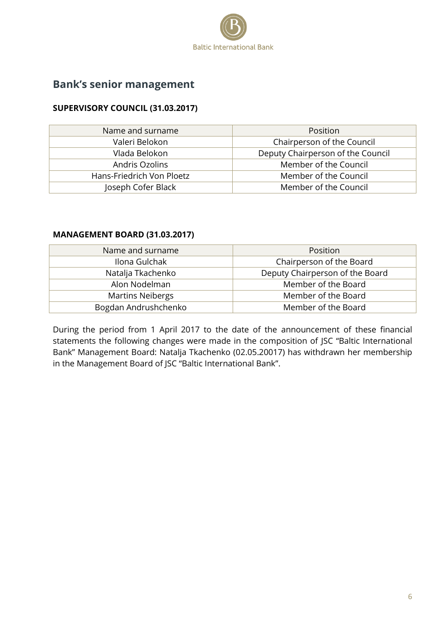

# <span id="page-5-0"></span>**Bank's senior management**

#### **SUPERVISORY COUNCIL (31.03.2017)**

| Name and surname          | Position                          |
|---------------------------|-----------------------------------|
| Valeri Belokon            | Chairperson of the Council        |
| Vlada Belokon             | Deputy Chairperson of the Council |
| Andris Ozolins            | Member of the Council             |
| Hans-Friedrich Von Ploetz | Member of the Council             |
| Joseph Cofer Black        | Member of the Council             |

#### **MANAGEMENT BOARD (31.03.2017)**

| Name and surname        | Position                        |
|-------------------------|---------------------------------|
| Ilona Gulchak           | Chairperson of the Board        |
| Natalja Tkachenko       | Deputy Chairperson of the Board |
| Alon Nodelman           | Member of the Board             |
| <b>Martins Neibergs</b> | Member of the Board             |
| Bogdan Andrushchenko    | Member of the Board             |

During the period from 1 April 2017 to the date of the announcement of these financial statements the following changes were made in the composition of JSC "Baltic International Bank" Management Board: Natalja Tkachenko (02.05.20017) has withdrawn her membership in the Management Board of JSC "Baltic International Bank".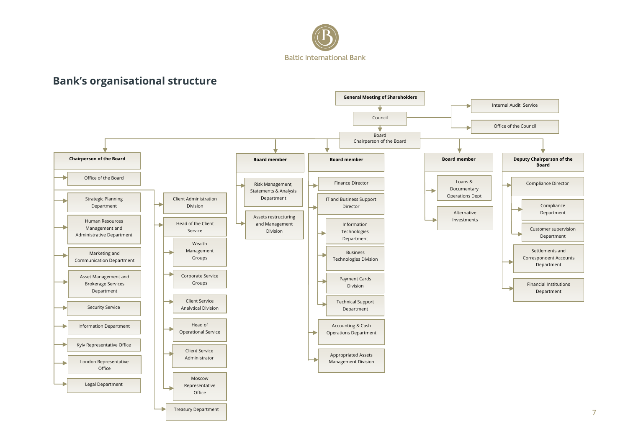

# **Bank's organisational structure**

<span id="page-6-0"></span>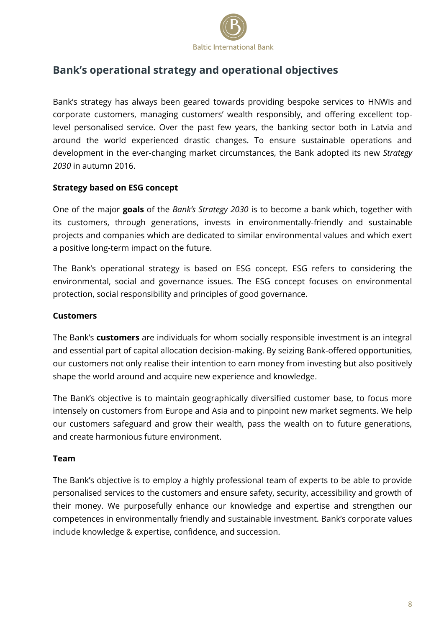

# <span id="page-7-0"></span>**Bank's operational strategy and operational objectives**

Bank's strategy has always been geared towards providing bespoke services to HNWIs and corporate customers, managing customers' wealth responsibly, and offering excellent toplevel personalised service. Over the past few years, the banking sector both in Latvia and around the world experienced drastic changes. To ensure sustainable operations and development in the ever-changing market circumstances, the Bank adopted its new *Strategy 2030* in autumn 2016.

#### **Strategy based on ESG concept**

One of the major **goals** of the *Bank's Strategy 2030* is to become a bank which, together with its customers, through generations, invests in environmentally-friendly and sustainable projects and companies which are dedicated to similar environmental values and which exert a positive long-term impact on the future.

The Bank's operational strategy is based on ESG concept. ESG refers to considering the environmental, social and governance issues. The ESG concept focuses on environmental protection, social responsibility and principles of good governance.

#### **Customers**

The Bank's **customers** are individuals for whom socially responsible investment is an integral and essential part of capital allocation decision-making. By seizing Bank-offered opportunities, our customers not only realise their intention to earn money from investing but also positively shape the world around and acquire new experience and knowledge.

The Bank's objective is to maintain geographically diversified customer base, to focus more intensely on customers from Europe and Asia and to pinpoint new market segments. We help our customers safeguard and grow their wealth, pass the wealth on to future generations, and create harmonious future environment.

#### **Team**

The Bank's objective is to employ a highly professional team of experts to be able to provide personalised services to the customers and ensure safety, security, accessibility and growth of their money. We purposefully enhance our knowledge and expertise and strengthen our competences in environmentally friendly and sustainable investment. Bank's corporate values include knowledge & expertise, confidence, and succession.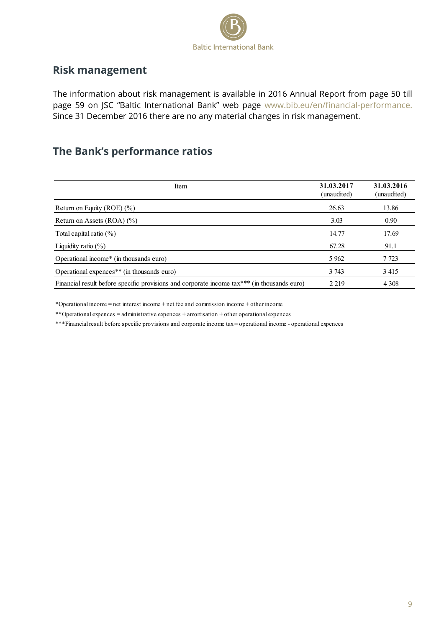

### <span id="page-8-0"></span>**Risk management**

The information about risk management is available in 2016 Annual Report from page 50 till page 59 on JSC "Baltic International Bank" web page [www.bib.eu/en/financial-performance.](http://www.bib.eu/en/financial-performance.) Since 31 December 2016 there are no any material changes in risk management.

# <span id="page-8-1"></span>**The Bank's performance ratios**

| Item                                                                                        | 31.03.2017<br>(unaudited) | 31.03.2016<br>(unaudited) |
|---------------------------------------------------------------------------------------------|---------------------------|---------------------------|
| Return on Equity (ROE) $(\% )$                                                              | 26.63                     | 13.86                     |
| Return on Assets $(ROA)$ $(\%)$                                                             | 3.03                      | 0.90                      |
| Total capital ratio $(\% )$                                                                 | 14.77                     | 17.69                     |
| Liquidity ratio $(\% )$                                                                     | 67.28                     | 91.1                      |
| Operational income* (in thousands euro)                                                     | 5 9 6 2                   | 7 7 2 3                   |
| Operational expences <sup>**</sup> (in thousands euro)                                      | 3 7 4 3                   | 3415                      |
| Financial result before specific provisions and corporate income tax*** (in thousands euro) | 2.219                     | 4 3 0 8                   |

\*Operational income = net interest income + net fee and commission income + other income

\*\*Operational expences = administrative expences + amortisation + other operational expences

\*\*\*Financial result before specific provisions and corporate income tax = operational income - operational expences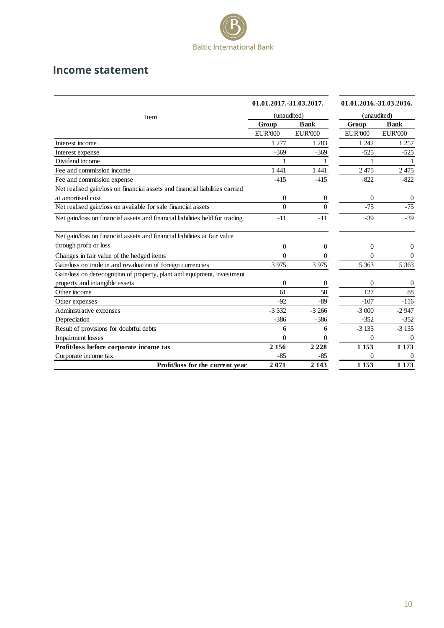

### <span id="page-9-0"></span>**Income statement**

|                                                                              | 01.01.2017.-31.03.2017. |                  | 01.01.2016.-31.03.2016. |                |
|------------------------------------------------------------------------------|-------------------------|------------------|-------------------------|----------------|
| Item                                                                         | (unaudited)             |                  | (unaudited)             |                |
|                                                                              | Group                   | <b>Bank</b>      | Group                   | <b>Bank</b>    |
|                                                                              | <b>EUR'000</b>          | <b>EUR'000</b>   | <b>EUR'000</b>          | <b>EUR'000</b> |
| Interest income                                                              | 1 277                   | 1 2 8 3          | 1 242                   | 1 257          |
| Interest expense                                                             | $-369$                  | $-369$           | $-525$                  | $-525$         |
| Dividend income                                                              | 1                       | 1                | 1                       | 1              |
| Fee and commission income                                                    | 1 4 4 1                 | 1 4 4 1          | 2475                    | 2475           |
| Fee and commission expense                                                   | $-415$                  | $-415$           | $-822$                  | $-822$         |
| Net realised gain/loss on financial assets and financial liabilities carried |                         |                  |                         |                |
| at amortised cost                                                            | $\overline{0}$          | 0                | $\Omega$                | $\theta$       |
| Net realised gain/loss on available for sale financial assets                | $\theta$                | $\theta$         | $-75$                   | $-75$          |
| Net gain/loss on financial assets and financial liabilities held for trading | $-11$                   | $-11$            | $-39$                   | $-39$          |
| Net gain/loss on financial assets and financial liabilities at fair value    |                         |                  |                         |                |
| through profit or loss                                                       | $\overline{0}$          | $\overline{0}$   | $\overline{0}$          | $\theta$       |
| Changes in fair value of the hedged items                                    | $\theta$                | $\theta$         | $\theta$                | $\Omega$       |
| Gain/loss on trade in and revaluation of foreign currencies                  | 3 9 7 5                 | 3 9 7 5          | 5 3 6 3                 | 5 3 6 3        |
| Gain/loss on derecognition of property, plant and equipment, investment      |                         |                  |                         |                |
| property and intangible assets                                               | $\overline{0}$          | $\boldsymbol{0}$ | $\overline{0}$          | $\theta$       |
| Other income                                                                 | 61                      | 58               | 127                     | 88             |
| Other expenses                                                               | $-92$                   | $-89$            | $-107$                  | $-116$         |
| Administrative expenses                                                      | $-3332$                 | $-3266$          | $-3000$                 | $-2947$        |
| Depreciation                                                                 | $-386$                  | $-386$           | $-352$                  | $-352$         |
| Result of provisions for doubtful debts                                      | 6                       | 6                | $-3135$                 | $-3135$        |
| <b>Impairment</b> losses                                                     | $\theta$                | $\overline{0}$   | $\theta$                | $\overline{0}$ |
| Profit/loss before corporate income tax                                      | 2 1 5 6                 | 2 2 2 8          | 1 1 5 3                 | 1 1 7 3        |
| Corporate income tax                                                         | $-85$                   | $-85$            | $\theta$                | $\Omega$       |
| Profit/loss for the current year                                             | 2071                    | 2 1 4 3          | 1 1 5 3                 | 1 1 7 3        |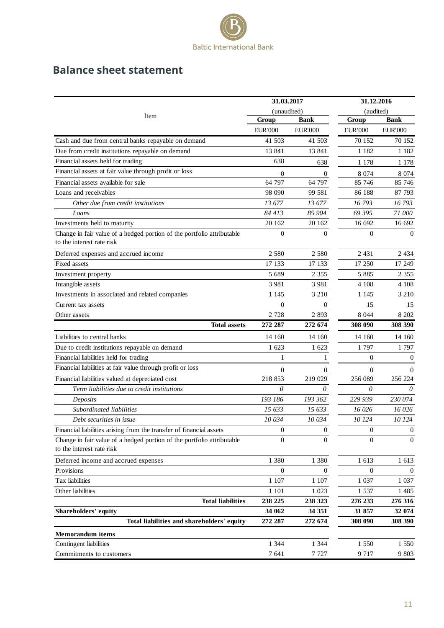

# <span id="page-10-0"></span>**Balance sheet statement**

|                                                                                                     | 31.03.2017       |                  | 31.12.2016       |                |
|-----------------------------------------------------------------------------------------------------|------------------|------------------|------------------|----------------|
| Item                                                                                                | (unaudited)      |                  | (audited)        |                |
|                                                                                                     | Group            | <b>Bank</b>      | Group            | <b>Bank</b>    |
|                                                                                                     | <b>EUR'000</b>   | <b>EUR'000</b>   | <b>EUR'000</b>   | <b>EUR'000</b> |
| Cash and due from central banks repayable on demand                                                 | 41 503           | 41 503           | 70 152           | 70 152         |
| Due from credit institutions repayable on demand                                                    | 13 841           | 13 841           | 1 1 8 2          | 1 1 8 2        |
| Financial assets held for trading                                                                   | 638              | 638              | 1 1 7 8          | 1 1 7 8        |
| Financial assets at fair value through profit or loss                                               | 0                | 0                | 8 0 7 4          | 8 0 7 4        |
| Financial assets available for sale                                                                 | 64 797           | 64 797           | 85 746           | 85 746         |
| Loans and receivables                                                                               | 98 090           | 99 581           | 86 188           | 87 793         |
| Other due from credit institutions                                                                  | 13 677           | 13 677           | 16 793           | 16793          |
| Loans                                                                                               | 84 413           | 85 904           | 69 395           | 71 000         |
| Investments held to maturity                                                                        | 20 162           | 20 162           | 16 692           | 16 692         |
| Change in fair value of a hedged portion of the portfolio attributable<br>to the interest rate risk | $\overline{0}$   | $\Omega$         | $\Omega$         | $\theta$       |
| Deferred expenses and accrued income                                                                | 2 5 8 0          | 2 5 8 0          | 2 4 3 1          | 2 4 3 4        |
| Fixed assets                                                                                        | 17 133           | 17 133           | 17 250           | 17 249         |
| Investment property                                                                                 | 5 6 8 9          | 2 3 5 5          | 5885             | 2 3 5 5        |
| Intangible assets                                                                                   | 3 9 8 1          | 3 9 8 1          | 4 1 0 8          | 4 1 0 8        |
| Investments in associated and related companies                                                     | 1 1 4 5          | 3 2 1 0          | 1 1 4 5          | 3 2 1 0        |
| Current tax assets                                                                                  | $\overline{0}$   | $\Omega$         | 15               | 15             |
| Other assets                                                                                        | 2728             | 2893             | 8 0 4 4          | 8 202          |
| <b>Total assets</b>                                                                                 | 272 287          | 272 674          | 308 090          | 308 390        |
| Liabilities to central banks                                                                        | 14 160           | 14 160           | 14 160           | 14 160         |
| Due to credit institutions repayable on demand                                                      | 1 623            | 1 623            | 1797             | 1797           |
| Financial liabilities held for trading                                                              | 1                | 1                | $\Omega$         | $\theta$       |
| Financial liabilities at fair value through profit or loss                                          | $\overline{0}$   | 0                | $\Omega$         | $\theta$       |
| Financial liabilities valued at depreciated cost                                                    | 218 853          | 219 029          | 256 089          | 256 224        |
| Term liabilities due to credit institutions                                                         | $\theta$         | 0                | 0                | 0              |
| Deposits                                                                                            | 193 186          | 193 362          | 229 939          | 230 074        |
| Subordinated liabilities                                                                            | 15 633           | 15633            | 16 026           | 16 026         |
| Debt securities in issue                                                                            | 10 034           | 10 034           | 10 124           | 10 124         |
| Financial liabilities arising from the transfer of financial assets                                 | 0                | $\boldsymbol{0}$ | $\boldsymbol{0}$ | $\mathbf{0}$   |
| Change in fair value of a hedged portion of the portfolio attributable<br>to the interest rate risk | $\boldsymbol{0}$ | $\Omega$         | $\Omega$         | $\overline{0}$ |
| Deferred income and accrued expenses                                                                | 1 3 8 0          | 1 3 8 0          | 1 613            | 1 613          |
| Provisions                                                                                          | $\mathbf{0}$     | 0                | $\mathbf{0}$     | $\Omega$       |
| Tax liabilities                                                                                     | 1 107            | 1 107            | 1 0 3 7          | 1 0 3 7        |
| Other liabilities                                                                                   | 1 1 0 1          | 1 0 23           | 1537             | 1485           |
| <b>Total liabilities</b>                                                                            | 238 225          | 238 323          | 276 233          | 276 316        |
| Shareholders' equity                                                                                | 34 062           | 34 351           | 31 857           | 32 074         |
| Total liabilities and shareholders' equity                                                          | 272 287          | 272 674          | 308 090          | 308 390        |
| <b>Memorandum</b> items                                                                             |                  |                  |                  |                |
| Contingent liabilities                                                                              | 1 3 4 4          | 1 3 4 4          | 1 550            | 1 5 5 0        |
| Commitments to customers                                                                            | 7641             | 7727             | 9 7 1 7          | 9 803          |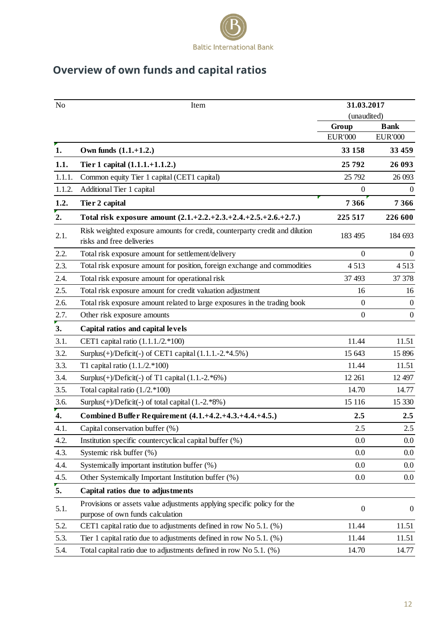

# <span id="page-11-0"></span>**Overview of own funds and capital ratios**

| N <sub>o</sub> | Item                                                                                                        |                         | 31.03.2017                    |  |  |
|----------------|-------------------------------------------------------------------------------------------------------------|-------------------------|-------------------------------|--|--|
|                |                                                                                                             | (unaudited)             |                               |  |  |
|                |                                                                                                             | Group<br><b>EUR'000</b> | <b>Bank</b><br><b>EUR'000</b> |  |  |
| 1.             | Own funds $(1.1.+1.2.)$                                                                                     | 33 158                  | 33 459                        |  |  |
| 1.1.           | Tier 1 capital (1.1.1.+1.1.2.)                                                                              | 25 792                  | 26 093                        |  |  |
| 1.1.1.         | Common equity Tier 1 capital (CET1 capital)                                                                 | 25 792                  | 26 093                        |  |  |
| 1.1.2.         | Additional Tier 1 capital                                                                                   | $\theta$                | $\theta$                      |  |  |
| 1.2.           | Tier 2 capital                                                                                              | 7 3 6 6                 | 7 3 6 6                       |  |  |
| 2.             | Total risk exposure amount $(2.1.+2.2.+2.3.+2.4.+2.5.+2.6.+2.7.)$                                           | 225 517                 | 226 600                       |  |  |
| 2.1.           | Risk weighted exposure amounts for credit, counterparty credit and dilution<br>risks and free deliveries    | 183 495                 | 184 693                       |  |  |
| 2.2.           | Total risk exposure amount for settlement/delivery                                                          | $\overline{0}$          | $\overline{0}$                |  |  |
| 2.3.           | Total risk exposure amount for position, foreign exchange and commodities                                   | 4513                    | 4513                          |  |  |
| 2.4.           | Total risk exposure amount for operational risk                                                             | 37 493                  | 37 37 8                       |  |  |
| 2.5.           | Total risk exposure amount for credit valuation adjustment                                                  | 16                      | 16                            |  |  |
| 2.6.           | Total risk exposure amount related to large exposures in the trading book                                   | $\boldsymbol{0}$        | $\boldsymbol{0}$              |  |  |
| 2.7.           | Other risk exposure amounts                                                                                 | $\overline{0}$          | $\mathbf{0}$                  |  |  |
| 3.             | Capital ratios and capital levels                                                                           |                         |                               |  |  |
| 3.1.           | CET1 capital ratio (1.1.1./2.*100)                                                                          | 11.44                   | 11.51                         |  |  |
| 3.2.           | Surplus $(+)$ /Deficit $(-)$ of CET1 capital $(1.1.1.-2.*4.5%)$                                             | 15 643                  | 15 896                        |  |  |
| 3.3.           | T1 capital ratio $(1.1./2.*100)$                                                                            | 11.44                   | 11.51                         |  |  |
| 3.4.           | Surplus $(+)$ /Deficit $(-)$ of T1 capital $(1.1.-2.*6%)$                                                   | 12 261                  | 12 497                        |  |  |
| 3.5.           | Total capital ratio $(1.2.*100)$                                                                            | 14.70                   | 14.77                         |  |  |
| 3.6.           | Surplus $(+)$ /Deficit $(-)$ of total capital $(1.-2.*8%)$                                                  | 15 116                  | 15 330                        |  |  |
| 4.             | Combined Buffer Requirement (4.1.+4.2.+4.3.+4.4.+4.5.)                                                      | 2.5                     | 2.5                           |  |  |
| 4.1.           | Capital conservation buffer (%)                                                                             | 2.5                     | 2.5                           |  |  |
| 4.2.           | Institution specific countercyclical capital buffer (%)                                                     | 0.0                     | $0.0\,$                       |  |  |
| 4.3.           | Systemic risk buffer (%)                                                                                    | 0.0                     | 0.0                           |  |  |
| 4.4.           | Systemically important institution buffer (%)                                                               | 0.0                     | 0.0                           |  |  |
| 4.5.           | Other Systemically Important Institution buffer (%)                                                         | 0.0                     | $0.0\,$                       |  |  |
| 5.             | Capital ratios due to adjustments                                                                           |                         |                               |  |  |
| 5.1.           | Provisions or assets value adjustments applying specific policy for the<br>purpose of own funds calculation | $\boldsymbol{0}$        | $\boldsymbol{0}$              |  |  |
| 5.2.           | CET1 capital ratio due to adjustments defined in row No 5.1. (%)                                            | 11.44                   | 11.51                         |  |  |
| 5.3.           | Tier 1 capital ratio due to adjustments defined in row No 5.1. (%)                                          | 11.44                   | 11.51                         |  |  |
| 5.4.           | Total capital ratio due to adjustments defined in row No 5.1. (%)                                           | 14.70                   | 14.77                         |  |  |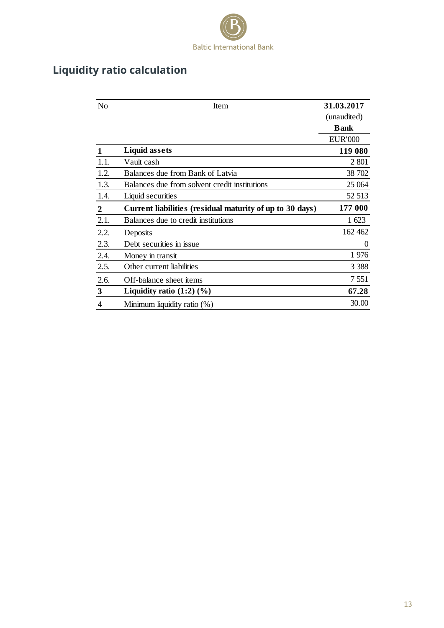

# <span id="page-12-0"></span>**Liquidity ratio calculation**

| N <sub>o</sub>   | Item                                                     | 31.03.2017     |
|------------------|----------------------------------------------------------|----------------|
|                  |                                                          | (unaudited)    |
|                  |                                                          | <b>Bank</b>    |
|                  |                                                          | <b>EUR'000</b> |
|                  | <b>Liquid assets</b>                                     | 119 080        |
| 1.1.             | Vault cash                                               | 2 801          |
| 1.2.             | Balances due from Bank of Latvia                         | 38 702         |
| 1.3.             | Balances due from solvent credit institutions            | 25 064         |
| 1.4.             | Liquid securities                                        | 52 513         |
| $\boldsymbol{2}$ | Current liabilities (residual maturity of up to 30 days) | 177 000        |
| 2.1.             | Balances due to credit institutions                      | 1 623          |
| 2.2.             | Deposits                                                 | 162 462        |
| 2.3.             | Debt securities in issue                                 | $\overline{0}$ |
| 2.4.             | Money in transit                                         | 1976           |
| 2.5.             | Other current liabilities                                | 3 3 8 8        |
| 2.6.             | Off-balance sheet items                                  | 7 5 5 1        |
| $\mathbf{3}$     | Liquidity ratio $(1:2)$ $(\%)$                           | 67.28          |
| 4                | Minimum liquidity ratio (%)                              | 30.00          |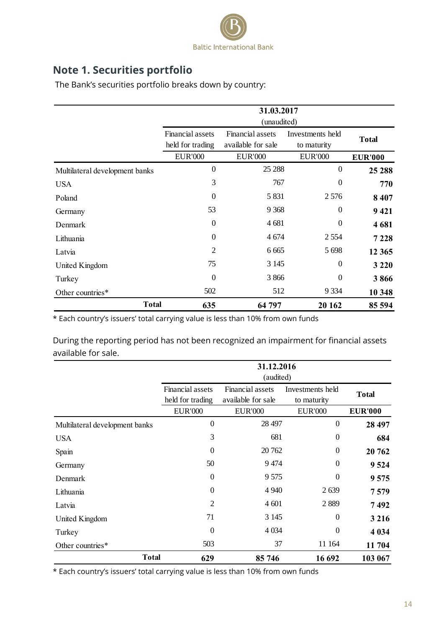

# <span id="page-13-0"></span>**Note 1. Securities portfolio**

The Bank's securities portfolio breaks down by country:

|                                | 31.03.2017<br>(unaudited)            |                                        |                                 |                |
|--------------------------------|--------------------------------------|----------------------------------------|---------------------------------|----------------|
|                                | Financial assets<br>held for trading | Financial assets<br>available for sale | Investments held<br>to maturity | <b>Total</b>   |
|                                | <b>EUR'000</b>                       | <b>EUR'000</b>                         | <b>EUR'000</b>                  | <b>EUR'000</b> |
| Multilateral development banks | $\theta$                             | 25 288                                 | $\theta$                        | 25 288         |
| <b>USA</b>                     | 3                                    | 767                                    | $\theta$                        | 770            |
| Poland                         | $\theta$                             | 5 8 3 1                                | 2 5 7 6                         | 8 4 0 7        |
| Germany                        | 53                                   | 9 3 6 8                                | $\theta$                        | 9421           |
| Denmark                        | $\theta$                             | 4681                                   | $\mathbf{0}$                    | 4681           |
| Lithuania                      | $\Omega$                             | 4 6 7 4                                | 2 5 5 4                         | 7 2 2 8        |
| Latvia                         | $\overline{2}$                       | 6 6 6 5                                | 5 6 9 8                         | 12 3 65        |
| United Kingdom                 | 75                                   | 3 1 4 5                                | $\theta$                        | 3 2 2 0        |
| Turkey                         | $\Omega$                             | 3866                                   | $\theta$                        | 3866           |
| Other countries*               | 502                                  | 512                                    | 9 3 3 4                         | 10 348         |
| <b>Total</b>                   | 635                                  | 64 797                                 | 20 162                          | 85 594         |

\* Each country's issuers' total carrying value is less than 10% from own funds

During the reporting period has not been recognized an impairment for financial assets available for sale.

|                                | 31.12.2016<br>(audited)              |                                        |                                 |                |
|--------------------------------|--------------------------------------|----------------------------------------|---------------------------------|----------------|
|                                | Financial assets<br>held for trading | Financial assets<br>available for sale | Investments held<br>to maturity | <b>Total</b>   |
|                                | <b>EUR'000</b>                       | <b>EUR'000</b>                         | <b>EUR'000</b>                  | <b>EUR'000</b> |
| Multilateral development banks | $\boldsymbol{0}$                     | 28 497                                 | $\overline{0}$                  | 28 497         |
| <b>USA</b>                     | 3                                    | 681                                    | $\theta$                        | 684            |
| Spain                          | $\Omega$                             | 20 762                                 | $\overline{0}$                  | 20 762         |
| Germany                        | 50                                   | 9474                                   | $\overline{0}$                  | 9 5 24         |
| Denmark                        | $\Omega$                             | 9575                                   | $\Omega$                        | 9575           |
| Lithuania                      | $\Omega$                             | 4 9 4 0                                | 2639                            | 7579           |
| Latvia                         | 2                                    | 4 601                                  | 2889                            | 7492           |
| United Kingdom                 | 71                                   | 3 1 4 5                                | $\theta$                        | 3 2 1 6        |
| Turkey                         | $\Omega$                             | 4 0 34                                 | $\theta$                        | 4 0 34         |
| Other countries*               | 503                                  | 37                                     | 11 164                          | 11 704         |
| <b>Total</b>                   | 629                                  | 85 746                                 | 16 692                          | 103 067        |

\* Each country's issuers' total carrying value is less than 10% from own funds